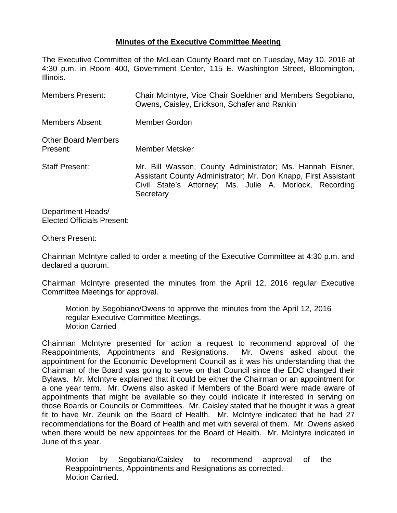## **Minutes of the Executive Committee Meeting**

The Executive Committee of the McLean County Board met on Tuesday, May 10, 2016 at 4:30 p.m. in Room 400, Government Center, 115 E. Washington Street, Bloomington, Illinois.

| <b>Members Present:</b>                | Chair McIntyre, Vice Chair Soeldner and Members Segobiano,<br>Owens, Caisley, Erickson, Schafer and Rankin                                                                                          |
|----------------------------------------|-----------------------------------------------------------------------------------------------------------------------------------------------------------------------------------------------------|
| Members Absent:                        | Member Gordon                                                                                                                                                                                       |
| <b>Other Board Members</b><br>Present: | Member Metsker                                                                                                                                                                                      |
| <b>Staff Present:</b>                  | Mr. Bill Wasson, County Administrator; Ms. Hannah Eisner,<br>Assistant County Administrator; Mr. Don Knapp, First Assistant<br>Civil State's Attorney; Ms. Julie A. Morlock, Recording<br>Secretary |

Department Heads/ Elected Officials Present:

## Others Present:

Chairman McIntyre called to order a meeting of the Executive Committee at 4:30 p.m. and declared a quorum.

Chairman McIntyre presented the minutes from the April 12, 2016 regular Executive Committee Meetings for approval.

Motion by Segobiano/Owens to approve the minutes from the April 12, 2016 regular Executive Committee Meetings. Motion Carried

Chairman McIntyre presented for action a request to recommend approval of the Reappointments, Appointments and Resignations. Mr. Owens asked about the appointment for the Economic Development Council as it was his understanding that the Chairman of the Board was going to serve on that Council since the EDC changed their Bylaws. Mr. McIntyre explained that it could be either the Chairman or an appointment for a one year term. Mr. Owens also asked if Members of the Board were made aware of appointments that might be available so they could indicate if interested in serving on those Boards or Councils or Committees. Mr. Caisley stated that he thought it was a great fit to have Mr. Zeunik on the Board of Health. Mr. McIntyre indicated that he had 27 recommendations for the Board of Health and met with several of them. Mr. Owens asked when there would be new appointees for the Board of Health. Mr. McIntyre indicated in June of this year.

Motion by Segobiano/Caisley to recommend approval of the Reappointments, Appointments and Resignations as corrected. Motion Carried.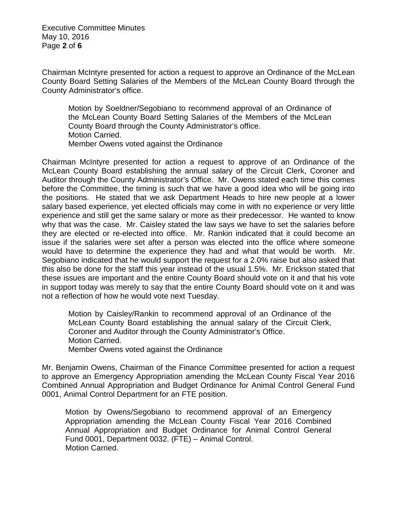Executive Committee Minutes May 10, 2016 Page **2** of **6**

Chairman McIntyre presented for action a request to approve an Ordinance of the McLean County Board Setting Salaries of the Members of the McLean County Board through the County Administrator's office.

Motion by Soeldner/Segobiano to recommend approval of an Ordinance of the McLean County Board Setting Salaries of the Members of the McLean County Board through the County Administrator's office. Motion Carried. Member Owens voted against the Ordinance

Chairman McIntyre presented for action a request to approve of an Ordinance of the McLean County Board establishing the annual salary of the Circuit Clerk, Coroner and Auditor through the County Administrator's Office. Mr. Owens stated each time this comes before the Committee, the timing is such that we have a good idea who will be going into the positions. He stated that we ask Department Heads to hire new people at a lower salary based experience, yet elected officials may come in with no experience or very little experience and still get the same salary or more as their predecessor. He wanted to know why that was the case. Mr. Caisley stated the law says we have to set the salaries before they are elected or re-elected into office. Mr. Rankin indicated that it could become an issue if the salaries were set after a person was elected into the office where someone would have to determine the experience they had and what that would be worth. Mr. Segobiano indicated that he would support the request for a 2.0% raise but also asked that this also be done for the staff this year instead of the usual 1.5%. Mr. Erickson stated that these issues are important and the entire County Board should vote on it and that his vote in support today was merely to say that the entire County Board should vote on it and was not a reflection of how he would vote next Tuesday.

Motion by Caisley/Rankin to recommend approval of an Ordinance of the McLean County Board establishing the annual salary of the Circuit Clerk, Coroner and Auditor through the County Administrator's Office. Motion Carried. Member Owens voted against the Ordinance

Mr. Benjamin Owens, Chairman of the Finance Committee presented for action a request to approve an Emergency Appropriation amending the McLean County Fiscal Year 2016 Combined Annual Appropriation and Budget Ordinance for Animal Control General Fund 0001, Animal Control Department for an FTE position.

Motion by Owens/Segobiano to recommend approval of an Emergency Appropriation amending the McLean County Fiscal Year 2016 Combined Annual Appropriation and Budget Ordinance for Animal Control General Fund 0001, Department 0032. (FTE) – Animal Control. Motion Carried.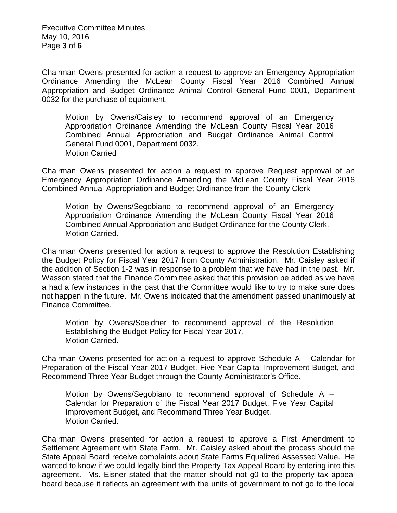Executive Committee Minutes May 10, 2016 Page **3** of **6**

Chairman Owens presented for action a request to approve an Emergency Appropriation Ordinance Amending the McLean County Fiscal Year 2016 Combined Annual Appropriation and Budget Ordinance Animal Control General Fund 0001, Department 0032 for the purchase of equipment.

Motion by Owens/Caisley to recommend approval of an Emergency Appropriation Ordinance Amending the McLean County Fiscal Year 2016 Combined Annual Appropriation and Budget Ordinance Animal Control General Fund 0001, Department 0032. Motion Carried

Chairman Owens presented for action a request to approve Request approval of an Emergency Appropriation Ordinance Amending the McLean County Fiscal Year 2016 Combined Annual Appropriation and Budget Ordinance from the County Clerk

Motion by Owens/Segobiano to recommend approval of an Emergency Appropriation Ordinance Amending the McLean County Fiscal Year 2016 Combined Annual Appropriation and Budget Ordinance for the County Clerk. Motion Carried.

Chairman Owens presented for action a request to approve the Resolution Establishing the Budget Policy for Fiscal Year 2017 from County Administration. Mr. Caisley asked if the addition of Section 1-2 was in response to a problem that we have had in the past. Mr. Wasson stated that the Finance Committee asked that this provision be added as we have a had a few instances in the past that the Committee would like to try to make sure does not happen in the future. Mr. Owens indicated that the amendment passed unanimously at Finance Committee.

Motion by Owens/Soeldner to recommend approval of the Resolution Establishing the Budget Policy for Fiscal Year 2017. Motion Carried.

Chairman Owens presented for action a request to approve Schedule A – Calendar for Preparation of the Fiscal Year 2017 Budget, Five Year Capital Improvement Budget, and Recommend Three Year Budget through the County Administrator's Office.

Motion by Owens/Segobiano to recommend approval of Schedule A – Calendar for Preparation of the Fiscal Year 2017 Budget, Five Year Capital Improvement Budget, and Recommend Three Year Budget. Motion Carried.

Chairman Owens presented for action a request to approve a First Amendment to Settlement Agreement with State Farm. Mr. Caisley asked about the process should the State Appeal Board receive complaints about State Farms Equalized Assessed Value. He wanted to know if we could legally bind the Property Tax Appeal Board by entering into this agreement. Ms. Eisner stated that the matter should not g0 to the property tax appeal board because it reflects an agreement with the units of government to not go to the local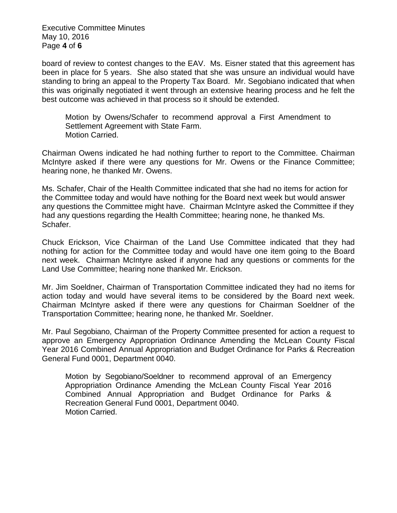Executive Committee Minutes May 10, 2016 Page **4** of **6**

board of review to contest changes to the EAV. Ms. Eisner stated that this agreement has been in place for 5 years. She also stated that she was unsure an individual would have standing to bring an appeal to the Property Tax Board. Mr. Segobiano indicated that when this was originally negotiated it went through an extensive hearing process and he felt the best outcome was achieved in that process so it should be extended.

Motion by Owens/Schafer to recommend approval a First Amendment to Settlement Agreement with State Farm. Motion Carried.

Chairman Owens indicated he had nothing further to report to the Committee. Chairman McIntyre asked if there were any questions for Mr. Owens or the Finance Committee; hearing none, he thanked Mr. Owens.

Ms. Schafer, Chair of the Health Committee indicated that she had no items for action for the Committee today and would have nothing for the Board next week but would answer any questions the Committee might have. Chairman McIntyre asked the Committee if they had any questions regarding the Health Committee; hearing none, he thanked Ms. Schafer.

Chuck Erickson, Vice Chairman of the Land Use Committee indicated that they had nothing for action for the Committee today and would have one item going to the Board next week. Chairman McIntyre asked if anyone had any questions or comments for the Land Use Committee; hearing none thanked Mr. Erickson.

Mr. Jim Soeldner, Chairman of Transportation Committee indicated they had no items for action today and would have several items to be considered by the Board next week. Chairman McIntyre asked if there were any questions for Chairman Soeldner of the Transportation Committee; hearing none, he thanked Mr. Soeldner.

Mr. Paul Segobiano, Chairman of the Property Committee presented for action a request to approve an Emergency Appropriation Ordinance Amending the McLean County Fiscal Year 2016 Combined Annual Appropriation and Budget Ordinance for Parks & Recreation General Fund 0001, Department 0040.

Motion by Segobiano/Soeldner to recommend approval of an Emergency Appropriation Ordinance Amending the McLean County Fiscal Year 2016 Combined Annual Appropriation and Budget Ordinance for Parks & Recreation General Fund 0001, Department 0040. Motion Carried.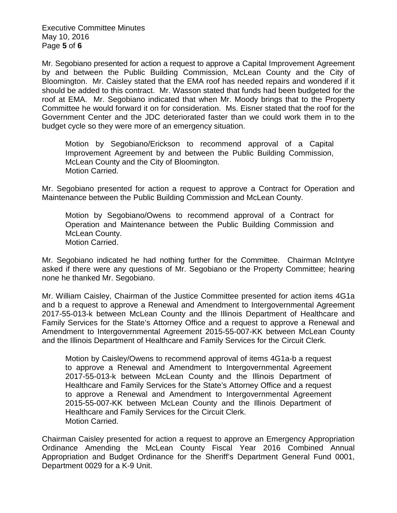Executive Committee Minutes May 10, 2016 Page **5** of **6**

Mr. Segobiano presented for action a request to approve a Capital Improvement Agreement by and between the Public Building Commission, McLean County and the City of Bloomington. Mr. Caisley stated that the EMA roof has needed repairs and wondered if it should be added to this contract. Mr. Wasson stated that funds had been budgeted for the roof at EMA. Mr. Segobiano indicated that when Mr. Moody brings that to the Property Committee he would forward it on for consideration. Ms. Eisner stated that the roof for the Government Center and the JDC deteriorated faster than we could work them in to the budget cycle so they were more of an emergency situation.

Motion by Segobiano/Erickson to recommend approval of a Capital Improvement Agreement by and between the Public Building Commission, McLean County and the City of Bloomington. Motion Carried.

Mr. Segobiano presented for action a request to approve a Contract for Operation and Maintenance between the Public Building Commission and McLean County.

Motion by Segobiano/Owens to recommend approval of a Contract for Operation and Maintenance between the Public Building Commission and McLean County. Motion Carried.

Mr. Segobiano indicated he had nothing further for the Committee. Chairman McIntyre asked if there were any questions of Mr. Segobiano or the Property Committee; hearing none he thanked Mr. Segobiano.

Mr. William Caisley, Chairman of the Justice Committee presented for action items 4G1a and b a request to approve a Renewal and Amendment to Intergovernmental Agreement 2017-55-013-k between McLean County and the Illinois Department of Healthcare and Family Services for the State's Attorney Office and a request to approve a Renewal and Amendment to Intergovernmental Agreement 2015-55-007-KK between McLean County and the Illinois Department of Healthcare and Family Services for the Circuit Clerk.

Motion by Caisley/Owens to recommend approval of items 4G1a-b a request to approve a Renewal and Amendment to Intergovernmental Agreement 2017-55-013-k between McLean County and the Illinois Department of Healthcare and Family Services for the State's Attorney Office and a request to approve a Renewal and Amendment to Intergovernmental Agreement 2015-55-007-KK between McLean County and the Illinois Department of Healthcare and Family Services for the Circuit Clerk. Motion Carried.

Chairman Caisley presented for action a request to approve an Emergency Appropriation Ordinance Amending the McLean County Fiscal Year 2016 Combined Annual Appropriation and Budget Ordinance for the Sheriff's Department General Fund 0001, Department 0029 for a K-9 Unit.